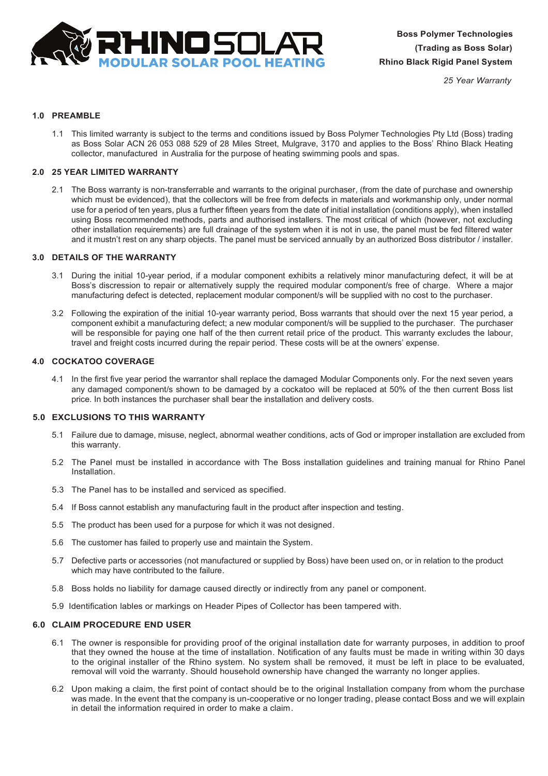

*25 Year Warranty*

# **1.0 PREAMBLE**

1.1 This limited warranty is subject to the terms and conditions issued by Boss Polymer Technologies Pty Ltd (Boss) trading as Boss Solar ACN 26 053 088 529 of 28 Miles Street, Mulgrave, 3170 and applies to the Boss' Rhino Black Heating collector, manufactured in Australia for the purpose of heating swimming pools and spas.

## **2.0 25 YEAR LIMITED WARRANTY**

2.1 The Boss warranty is non-transferrable and warrants to the original purchaser, (from the date of purchase and ownership which must be evidenced), that the collectors will be free from defects in materials and workmanship only, under normal use for a period of ten years, plus a further fifteen years from the date of initial installation (conditions apply), when installed using Boss recommended methods, parts and authorised installers. The most critical of which (however, not excluding other installation requirements) are full drainage of the system when it is not in use, the panel must be fed filtered water and it mustn't rest on any sharp objects. The panel must be serviced annually by an authorized Boss distributor / installer.

# **3.0 DETAILS OF THE WARRANTY**

- 3.1 During the initial 10-year period, if a modular component exhibits a relatively minor manufacturing defect, it will be at Boss's discression to repair or alternatively supply the required modular component/s free of charge. Where a major manufacturing defect is detected, replacement modular component/s will be supplied with no cost to the purchaser.
- 3.2 Following the expiration of the initial 10-year warranty period, Boss warrants that should over the next 15 year period, a component exhibit a manufacturing defect; a new modular component/s will be supplied to the purchaser. The purchaser will be responsible for paying one half of the then current retail price of the product. This warranty excludes the labour, travel and freight costs incurred during the repair period. These costs will be at the owners' expense.

# **4.0 COCKATOO COVERAGE**

4.1 In the first five year period the warrantor shall replace the damaged Modular Components only. For the next seven years any damaged component/s shown to be damaged by a cockatoo will be replaced at 50% of the then current Boss list price. In both instances the purchaser shall bear the installation and delivery costs.

# **5.0 EXCLUSIONS TO THIS WARRANTY**

- 5.1 Failure due to damage, misuse, neglect, abnormal weather conditions, acts of God or improper installation are excluded from this warranty.
- 5.2 The Panel must be installed in accordance with The Boss installation guidelines and training manual for Rhino Panel Installation.
- 5.3 The Panel has to be installed and serviced as specified.
- 5.4 If Boss cannot establish any manufacturing fault in the product after inspection and testing.
- 5.5 The product has been used for a purpose for which it was not designed.
- 5.6 The customer has failed to properly use and maintain the System.
- 5.7 Defective parts or accessories (not manufactured or supplied by Boss) have been used on, or in relation to the product which may have contributed to the failure.
- 5.8 Boss holds no liability for damage caused directly or indirectly from any panel or component.
- 5.9 Identification lables or markings on Header Pipes of Collector has been tampered with.

#### **6.0 CLAIM PROCEDURE END USER**

- 6.1 The owner is responsible for providing proof of the original installation date for warranty purposes, in addition to proof that they owned the house at the time of installation. Notification of any faults must be made in writing within 30 days to the original installer of the Rhino system. No system shall be removed, it must be left in place to be evaluated, removal will void the warranty. Should household ownership have changed the warranty no longer applies.
- 6.2 Upon making a claim, the first point of contact should be to the original Installation company from whom the purchase was made. In the event that the company is un-cooperative or no longer trading, please contact Boss and we will explain in detail the information required in order to make a claim.